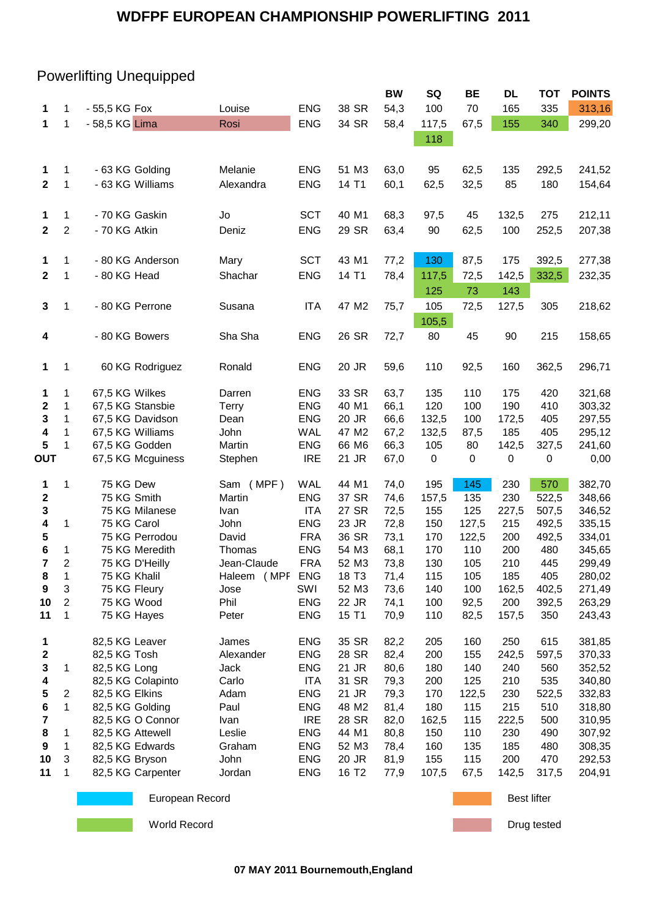## Powerlifting Unequipped

|                         |                |                 |                   |              |            |                   | <b>BW</b> | SQ        | <b>BE</b>   | DL                 | <b>TOT</b> | <b>POINTS</b> |  |
|-------------------------|----------------|-----------------|-------------------|--------------|------------|-------------------|-----------|-----------|-------------|--------------------|------------|---------------|--|
| 1                       | 1              | - 55,5 KG Fox   |                   | Louise       | <b>ENG</b> | 38 SR             | 54,3      | 100       | 70          | 165                | 335        | 313,16        |  |
| 1                       | 1              | - 58,5 KG Lima  |                   | Rosi         | <b>ENG</b> | 34 SR             | 58,4      | 117,5     | 67,5        | 155                | 340        | 299,20        |  |
|                         |                |                 |                   |              |            |                   |           | 118       |             |                    |            |               |  |
|                         |                |                 |                   |              |            |                   |           |           |             |                    |            |               |  |
|                         |                |                 |                   |              |            |                   |           |           |             |                    |            |               |  |
| 1                       | 1              |                 | - 63 KG Golding   | Melanie      | <b>ENG</b> | 51 M3             | 63,0      | 95        | 62,5        | 135                | 292,5      | 241,52        |  |
| $\mathbf{2}$            | 1              |                 | - 63 KG Williams  | Alexandra    | <b>ENG</b> | 14 T1             | 60,1      | 62,5      | 32,5        | 85                 | 180        | 154,64        |  |
|                         |                |                 |                   |              |            |                   |           |           |             |                    |            |               |  |
| 1                       | 1              | - 70 KG Gaskin  |                   | Jo           | <b>SCT</b> | 40 M1             | 68,3      | 97,5      | 45          | 132,5              | 275        | 212,11        |  |
| $\mathbf{2}$            | $\overline{2}$ | - 70 KG Atkin   |                   | Deniz        | <b>ENG</b> | 29 SR             | 63,4      | 90        | 62,5        | 100                | 252,5      | 207,38        |  |
|                         |                |                 |                   |              |            |                   |           |           |             |                    |            |               |  |
| 1                       | 1              |                 | - 80 KG Anderson  | Mary         | <b>SCT</b> | 43 M1             | 77,2      | 130       | 87,5        | 175                | 392,5      | 277,38        |  |
| $\mathbf{2}$            | 1              | - 80 KG Head    |                   | Shachar      | <b>ENG</b> | 14 T1             | 78,4      | 117,5     | 72,5        | 142,5              | 332,5      | 232,35        |  |
|                         |                |                 |                   |              |            |                   |           |           |             |                    |            |               |  |
|                         |                |                 |                   |              |            |                   |           | 125       | 73          | 143                |            |               |  |
| 3                       | $\mathbf 1$    |                 | - 80 KG Perrone   | Susana       | <b>ITA</b> | 47 M2             | 75,7      | 105       | 72,5        | 127,5              | 305        | 218,62        |  |
|                         |                |                 |                   |              |            |                   |           | 105,5     |             |                    |            |               |  |
| 4                       |                | - 80 KG Bowers  |                   | Sha Sha      | <b>ENG</b> | 26 SR             | 72,7      | 80        | 45          | 90                 | 215        | 158,65        |  |
|                         |                |                 |                   |              |            |                   |           |           |             |                    |            |               |  |
| 1                       | 1              |                 | 60 KG Rodriguez   | Ronald       | <b>ENG</b> | 20 JR             | 59,6      | 110       | 92,5        | 160                | 362,5      | 296,71        |  |
|                         |                |                 |                   |              |            |                   |           |           |             |                    |            |               |  |
| 1                       | 1              | 67,5 KG Wilkes  |                   | Darren       | <b>ENG</b> | 33 SR             | 63,7      | 135       | 110         | 175                | 420        | 321,68        |  |
| $\mathbf 2$             | 1              |                 | 67,5 KG Stansbie  | <b>Terry</b> | <b>ENG</b> | 40 M1             | 66,1      | 120       | 100         | 190                | 410        | 303,32        |  |
| 3                       | $\mathbf 1$    |                 | 67,5 KG Davidson  | Dean         | <b>ENG</b> | 20 JR             | 66,6      | 132,5     | 100         | 172,5              | 405        | 297,55        |  |
| 4                       | 1              |                 | 67,5 KG Williams  | John         | <b>WAL</b> | 47 M2             | 67,2      | 132,5     | 87,5        | 185                | 405        | 295,12        |  |
| 5                       | 1              |                 | 67,5 KG Godden    | Martin       | <b>ENG</b> | 66 M6             | 66,3      | 105       | 80          | 142,5              | 327,5      | 241,60        |  |
| OUT                     |                |                 | 67,5 KG Mcguiness | Stephen      | <b>IRE</b> | 21 JR             | 67,0      | $\pmb{0}$ | 0           | $\pmb{0}$          | 0          | 0,00          |  |
|                         |                |                 |                   |              |            |                   |           |           |             |                    |            |               |  |
| 1                       | 1              | 75 KG Dew       |                   | Sam (MPF)    | <b>WAL</b> | 44 M1             | 74,0      | 195       | 145         | 230                | 570        | 382,70        |  |
| $\mathbf 2$             |                | 75 KG Smith     |                   | Martin       | <b>ENG</b> | 37 SR             | 74,6      | 157,5     | 135         | 230                | 522,5      | 348,66        |  |
| 3                       |                |                 | 75 KG Milanese    | Ivan         | <b>ITA</b> | 27 SR             | 72,5      | 155       | 125         | 227,5              | 507,5      | 346,52        |  |
| 4                       | 1              | 75 KG Carol     |                   | John         | <b>ENG</b> | 23 JR             | 72,8      | 150       | 127,5       | 215                | 492,5      | 335,15        |  |
| 5                       |                |                 | 75 KG Perrodou    | David        | <b>FRA</b> | 36 SR             | 73,1      | 170       | 122,5       | 200                | 492,5      | 334,01        |  |
| 6                       | 1              |                 | 75 KG Meredith    | Thomas       | <b>ENG</b> | 54 M3             | 68,1      | 170       | 110         | 200                | 480        | 345,65        |  |
| $\overline{\mathbf{r}}$ | $\overline{2}$ |                 | 75 KG D'Heilly    | Jean-Claude  | <b>FRA</b> | 52 M3             | 73,8      | 130       | 105         | 210                | 445        | 299,49        |  |
| 8                       | 1              | 75 KG Khalil    |                   | Haleem (MPF  | <b>ENG</b> | 18 T <sub>3</sub> | 71,4      | 115       | 105         | 185                | 405        | 280,02        |  |
| 9                       | 3              |                 | 75 KG Fleury      | Jose         | SWI        | 52 M3             | 73,6      | 140       | 100         | 162,5              | 402,5      | 271,49        |  |
| 10                      | $\sqrt{2}$     | 75 KG Wood      |                   | Phil         | <b>ENG</b> | 22 JR             | 74,1      | 100       | 92,5        | 200                | 392,5      | 263,29        |  |
| 11                      | 1              |                 | 75 KG Hayes       | Peter        | <b>ENG</b> | 15 T1             | 70,9      | 110       | 82,5        | 157,5              | 350        | 243,43        |  |
|                         |                |                 |                   |              |            |                   |           |           |             |                    |            |               |  |
| 1                       |                | 82,5 KG Leaver  |                   | James        | <b>ENG</b> | 35 SR             | 82,2      | 205       | 160         | 250                | 615        | 381,85        |  |
| $\boldsymbol{2}$        |                | 82,5 KG Tosh    |                   | Alexander    | <b>ENG</b> | 28 SR             | 82,4      | 200       | 155         | 242,5              | 597,5      | 370,33        |  |
| 3                       | 1              | 82,5 KG Long    |                   | Jack         | <b>ENG</b> | 21 JR             | 80,6      | 180       | 140         | 240                | 560        | 352,52        |  |
| 4                       |                |                 | 82,5 KG Colapinto | Carlo        | <b>ITA</b> | 31 SR             | 79,3      | 200       | 125         | 210                | 535        | 340,80        |  |
| 5                       | $\overline{2}$ | 82,5 KG Elkins  |                   | Adam         | <b>ENG</b> | 21 JR             | 79,3      | 170       | 122,5       | 230                | 522,5      | 332,83        |  |
| 6                       | 1              | 82,5 KG Golding |                   | Paul         | <b>ENG</b> | 48 M2             | 81,4      | 180       | 115         | 215                | 510        | 318,80        |  |
| 7                       |                |                 | 82,5 KG O Connor  | Ivan         | <b>IRE</b> | 28 SR             | 82,0      | 162,5     | 115         | 222,5              | 500        | 310,95        |  |
| 8                       | 1              |                 | 82,5 KG Attewell  | Leslie       | <b>ENG</b> | 44 M1             | 80,8      | 150       | 110         | 230                | 490        | 307,92        |  |
| 9                       | 1              |                 | 82,5 KG Edwards   | Graham       | <b>ENG</b> | 52 M3             | 78,4      | 160       | 135         | 185                | 480        | 308,35        |  |
| 10                      | 3              | 82,5 KG Bryson  |                   | John         | <b>ENG</b> | 20 JR             | 81,9      | 155       | 115         | 200                | 470        | 292,53        |  |
| 11                      | $\mathbf{1}$   |                 | 82,5 KG Carpenter | Jordan       | <b>ENG</b> | 16 T <sub>2</sub> | 77,9      | 107,5     | 67,5        | 142,5              | 317,5      | 204,91        |  |
|                         |                |                 |                   |              |            |                   |           |           |             |                    |            |               |  |
|                         |                |                 | European Record   |              |            |                   |           |           |             | <b>Best lifter</b> |            |               |  |
|                         |                | World Record    |                   |              |            |                   |           |           | Drug tested |                    |            |               |  |